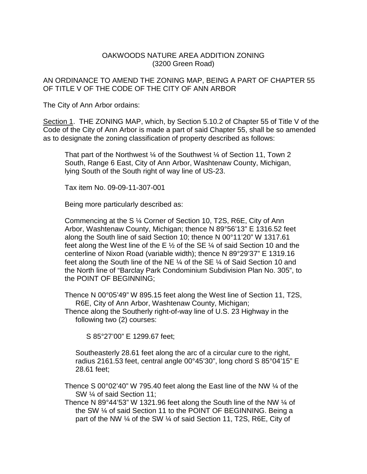## OAKWOODS NATURE AREA ADDITION ZONING (3200 Green Road)

AN ORDINANCE TO AMEND THE ZONING MAP, BEING A PART OF CHAPTER 55 OF TITLE V OF THE CODE OF THE CITY OF ANN ARBOR

The City of Ann Arbor ordains:

Section 1. THE ZONING MAP, which, by Section 5.10.2 of Chapter 55 of Title V of the Code of the City of Ann Arbor is made a part of said Chapter 55, shall be so amended as to designate the zoning classification of property described as follows:

That part of the Northwest ¼ of the Southwest ¼ of Section 11, Town 2 South, Range 6 East, City of Ann Arbor, Washtenaw County, Michigan, lying South of the South right of way line of US-23.

Tax item No. 09-09-11-307-001

Being more particularly described as:

Commencing at the S ¼ Corner of Section 10, T2S, R6E, City of Ann Arbor, Washtenaw County, Michigan; thence N 89°56'13" E 1316.52 feet along the South line of said Section 10; thence N 00°11'20" W 1317.61 feet along the West line of the E  $\frac{1}{2}$  of the SE  $\frac{1}{4}$  of said Section 10 and the centerline of Nixon Road (variable width); thence N 89°29'37" E 1319.16 feet along the South line of the NE ¼ of the SE ¼ of Said Section 10 and the North line of "Barclay Park Condominium Subdivision Plan No. 305", to the POINT OF BEGINNING;

Thence N 00°05'49" W 895.15 feet along the West line of Section 11, T2S, R6E, City of Ann Arbor, Washtenaw County, Michigan;

Thence along the Southerly right-of-way line of U.S. 23 Highway in the following two (2) courses:

S 85°27'00" E 1299.67 feet;

Southeasterly 28.61 feet along the arc of a circular cure to the right, radius 2161.53 feet, central angle 00°45'30", long chord S 85°04'15" E 28.61 feet;

Thence S 00°02'40" W 795.40 feet along the East line of the NW  $\frac{1}{4}$  of the SW ¼ of said Section 11;

Thence N 89°44'53" W 1321.96 feet along the South line of the NW ¼ of the SW ¼ of said Section 11 to the POINT OF BEGINNING. Being a part of the NW ¼ of the SW ¼ of said Section 11, T2S, R6E, City of